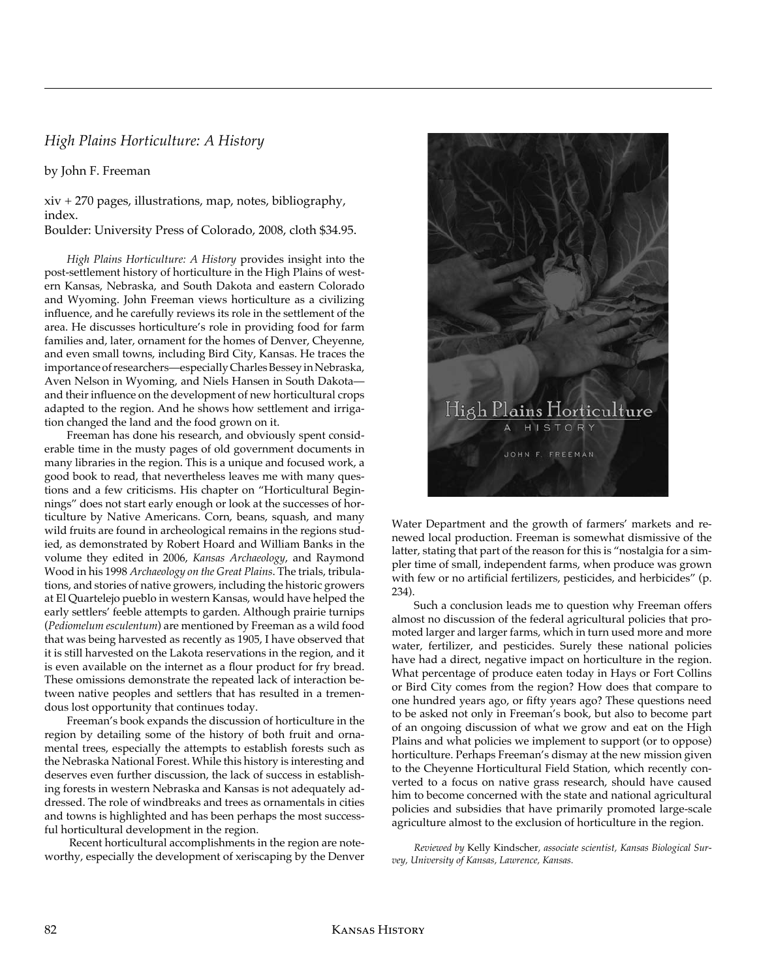## *High Plains Horticulture: A History*

by John F. Freeman

xiv + 270 pages, illustrations, map, notes, bibliography, index.

Boulder: University Press of Colorado, 2008, cloth \$34.95.

*High Plains Horticulture: A History* provides insight into the post-settlement history of horticulture in the High Plains of western Kansas, Nebraska, and South Dakota and eastern Colorado and Wyoming. John Freeman views horticulture as a civilizing influence, and he carefully reviews its role in the settlement of the area. He discusses horticulture's role in providing food for farm families and, later, ornament for the homes of Denver, Cheyenne, and even small towns, including Bird City, Kansas. He traces the importance of researchers—especially Charles Bessey in Nebraska, Aven Nelson in Wyoming, and Niels Hansen in South Dakota and their influence on the development of new horticultural crops adapted to the region. And he shows how settlement and irrigation changed the land and the food grown on it.

Freeman has done his research, and obviously spent considerable time in the musty pages of old government documents in many libraries in the region. This is a unique and focused work, a good book to read, that nevertheless leaves me with many questions and a few criticisms. His chapter on "Horticultural Beginnings" does not start early enough or look at the successes of horticulture by Native Americans. Corn, beans, squash, and many wild fruits are found in archeological remains in the regions studied, as demonstrated by Robert Hoard and William Banks in the volume they edited in 2006, *Kansas Archaeology*, and Raymond Wood in his 1998 *Archaeology on the Great Plains*. The trials, tribulations, and stories of native growers, including the historic growers at El Quartelejo pueblo in western Kansas, would have helped the early settlers' feeble attempts to garden. Although prairie turnips (*Pediomelum esculentum*) are mentioned by Freeman as a wild food that was being harvested as recently as 1905, I have observed that it is still harvested on the Lakota reservations in the region, and it is even available on the internet as a flour product for fry bread. These omissions demonstrate the repeated lack of interaction between native peoples and settlers that has resulted in a tremendous lost opportunity that continues today.

Freeman's book expands the discussion of horticulture in the region by detailing some of the history of both fruit and ornamental trees, especially the attempts to establish forests such as the Nebraska National Forest. While this history is interesting and deserves even further discussion, the lack of success in establishing forests in western Nebraska and Kansas is not adequately addressed. The role of windbreaks and trees as ornamentals in cities and towns is highlighted and has been perhaps the most successful horticultural development in the region.

 Recent horticultural accomplishments in the region are noteworthy, especially the development of xeriscaping by the Denver



Water Department and the growth of farmers' markets and renewed local production. Freeman is somewhat dismissive of the latter, stating that part of the reason for this is "nostalgia for a simpler time of small, independent farms, when produce was grown with few or no artificial fertilizers, pesticides, and herbicides" (p. 234).

Such a conclusion leads me to question why Freeman offers almost no discussion of the federal agricultural policies that promoted larger and larger farms, which in turn used more and more water, fertilizer, and pesticides. Surely these national policies have had a direct, negative impact on horticulture in the region. What percentage of produce eaten today in Hays or Fort Collins or Bird City comes from the region? How does that compare to one hundred years ago, or fifty years ago? These questions need to be asked not only in Freeman's book, but also to become part of an ongoing discussion of what we grow and eat on the High Plains and what policies we implement to support (or to oppose) horticulture. Perhaps Freeman's dismay at the new mission given to the Cheyenne Horticultural Field Station, which recently converted to a focus on native grass research, should have caused him to become concerned with the state and national agricultural policies and subsidies that have primarily promoted large-scale agriculture almost to the exclusion of horticulture in the region.

*Reviewed by* Kelly Kindscher*, associate scientist, Kansas Biological Survey, University of Kansas, Lawrence, Kansas.*